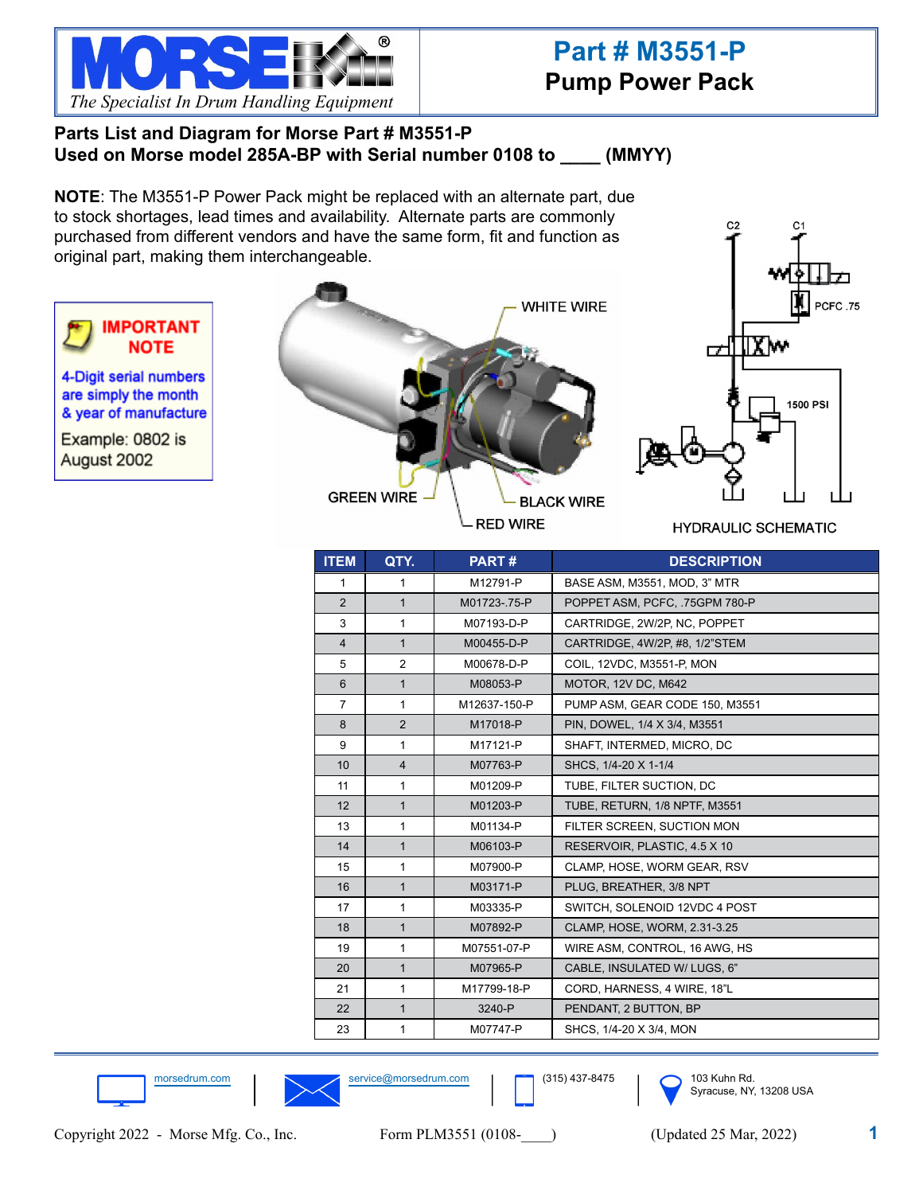

# **Part # M3551-P Pump Power Pack**

### **Parts List and Diagram for Morse Part # M3551-P Used on Morse model 285A-BP with Serial number 0108 to \_\_\_\_ (MMYY)**

**NOTE**: The M3551-P Power Pack might be replaced with an alternate part, due to stock shortages, lead times and availability. Alternate parts are commonly purchased from different vendors and have the same form, fit and function as original part, making them interchangeable.



morsedrum.com service@morsedrum.com 103 Kuhn Rd.

21 1 M17799-18-P CORD, HARNESS, 4 WIRE, 18"L 22 | 1 | 3240-P | PENDANT, 2 BUTTON, BP 23 | 1 | M07747-P | SHCS, 1/4-20 X 3/4, MON



Syracuse, NY, 13208 USA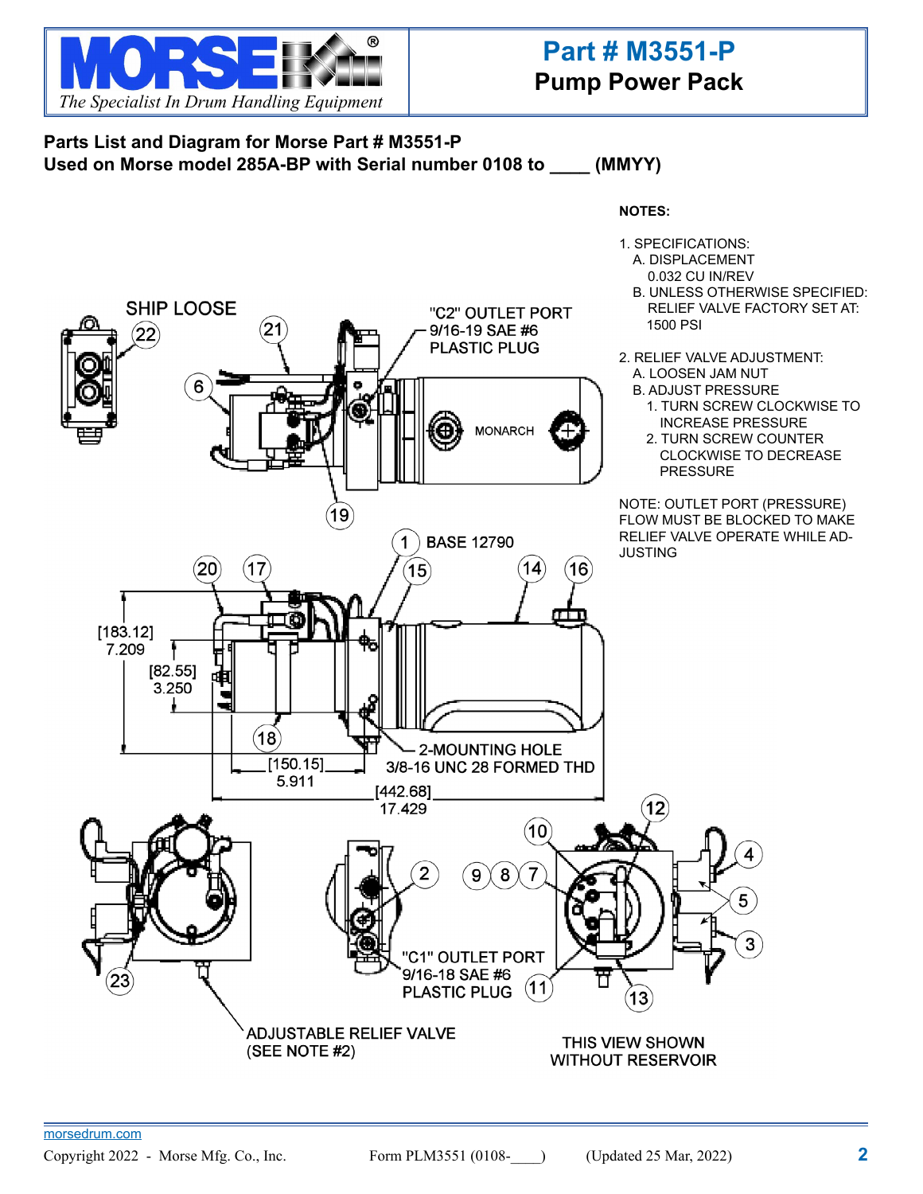

# **Part # M3551-P Pump Power Pack**

## **Parts List and Diagram for Morse Part # M3551-P Used on Morse model 285A-BP with Serial number 0108 to \_\_\_\_ (MMYY)**



THIS VIEW SHOWN **WITHOUT RESERVOIR** 

(SEE NOTE #2)